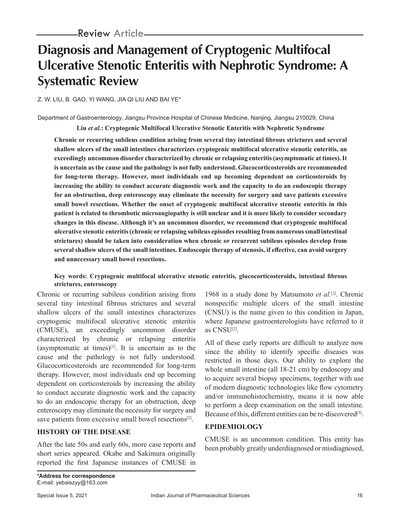# **Diagnosis and Management of Cryptogenic Multifocal Ulcerative Stenotic Enteritis with Nephrotic Syndrome: A Systematic Review**

Z. W. LIU, B. GAO, YI WANG, JIA QI LIU AND BAI YE\*

Department of Gastroenterology, Jiangsu Province Hospital of Chinese Medicine, Nanjing, Jiangsu 210029, China

**Liu** *et al.***: Cryptogenic Multifocal Ulcerative Stenotic Enteritis with Nephrotic Syndrome**

**Chronic or recurring subileus condition arising from several tiny intestinal fibrous strictures and several shallow ulcers of the small intestines characterizes cryptogenic multifocal ulcerative stenotic enteritis, an exceedingly uncommon disorder characterized by chronic or relapsing enteritis (asymptomatic at times). It is uncertain as the cause and the pathology is not fully understood. Glucocorticosteroids are recommended for long-term therapy. However, most individuals end up becoming dependent on corticosteroids by increasing the ability to conduct accurate diagnostic work and the capacity to do an endoscopic therapy for an obstruction, deep enteroscopy may eliminate the necessity for surgery and save patients excessive small bowel resections. Whether the onset of cryptogenic multifocal ulcerative stenotic enteritis in this patient is related to thrombotic microangiopathy is still unclear and it is more likely to consider secondary changes in this disease. Although it's an uncommon disorder, we recommend that cryptogenic multifocal ulcerative stenotic enteritis (chronic or relapsing subileus episodes resulting from numerous small intestinal strictures) should be taken into consideration when chronic or recurrent subileus episodes develop from several shallow ulcers of the small intestines. Endoscopic therapy of stenosis, if effective, can avoid surgery and unnecessary small bowel resections.**

#### **Key words: Cryptogenic multifocal ulcerative stenotic enteritis, glucocorticosteroids, intestinal fibrous strictures, enteroscopy**

Chronic or recurring subileus condition arising from several tiny intestinal fibrous strictures and several shallow ulcers of the small intestines characterizes cryptogenic multifocal ulcerative stenotic enteritis (CMUSE), an exceedingly uncommon disorder characterized by chronic or relapsing enteritis (asymptomatic at times) $[1]$ . It is uncertain as to the cause and the pathology is not fully understood. Glucocorticosteroids are recommended for long-term therapy. However, most individuals end up becoming dependent on corticosteroids by increasing the ability to conduct accurate diagnostic work and the capacity to do an endoscopic therapy for an obstruction, deep enteroscopy may eliminate the necessity for surgery and save patients from excessive small bowel resections<sup>[2]</sup>.

# **HISTORY OF THE DISEASE**

After the late 50s and early 60s, more case reports and short series appeared. Okabe and Sakimura originally reported the first Japanese instances of CMUSE in

1968 in a study done by Matsumoto *et al.*[2]. Chronic nonspecific multiple ulcers of the small intestine (CNSU) is the name given to this condition in Japan, where Japanese gastroenterologists have referred to it as CNSU[2].

All of these early reports are difficult to analyze now since the ability to identify specific diseases was restricted in those days. Our ability to explore the whole small intestine (all 18-21 cm) by endoscopy and to acquire several biopsy specimens, together with use of modern diagnostic technologies like flow cytometry and/or immunohistochemistry, means it is now able to perform a deep examination on the small intestine. Because of this, different entities can be re-discovered<sup>[3]</sup>.

# **EPIDEMIOLOGY**

CMUSE is an uncommon condition. This entity has been probably greatly underdiagnosed or misdiagnosed,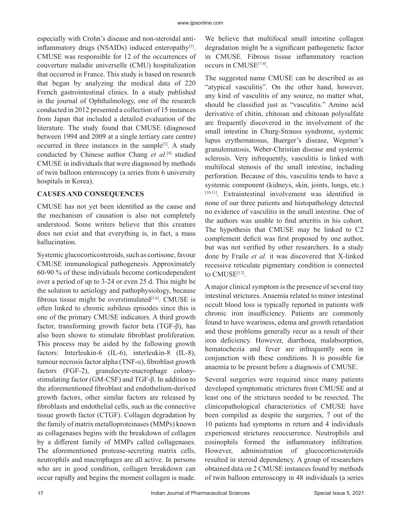especially with Crohn's disease and non-steroidal antiinflammatory drugs (NSAIDs) induced enteropathy[3]. CMUSE was responsible for 12 of the occurrences of couverture maladie universelle (CMU) hospitalization that occurred in France. This study is based on research that began by analyzing the medical data of 220 French gastrointestinal clinics. In a study published in the journal of Ophthalmology, one of the research conducted in 2012 presented a collection of 15 instances from Japan that included a detailed evaluation of the literature. The study found that CMUSE (diagnosed between 1994 and 2009 at a single tertiary care centre) occurred in three instances in the sample<sup>[3]</sup>. A study conducted by Chinese author Chang *et al.*[4] studied CMUSE in individuals that were diagnosed by methods of twin balloon enteroscopy (a series from 6 university hospitals in Korea).

## **CAUSES AND CONSEQUENCES**

CMUSE has not yet been identified as the cause and the mechanism of causation is also not completely understood. Some writers believe that this creature does not exist and that everything is, in fact, a mass hallucination.

Systemic glucocorticosteroids, such as cortisone, favour CMUSE immunological pathogenesis. Approximately 60-90 % of these individuals become corticodependent over a period of up to 3-24 or even 25 d. This might be the solution to aetiology and pathophysiology, because fibrous tissue might be overstimulated $[5,6]$ . CMUSE is often linked to chronic subileus episodes since this is one of the primary CMUSE indicators. A third growth factor, transforming growth factor beta  $(TGF- $\beta$ ), has$ also been shown to stimulate fibroblast proliferation. This process may be aided by the following growth factors: Interleukin-6 (IL-6), interleukin-8 (IL-8), tumour necrosis factor alpha (TNF- $\alpha$ ), fibroblast growth factors (FGF-2), granulocyte-macrophage colonystimulating factor (GM-CSF) and TGF- $\beta$ . In addition to the aforementioned fibroblast and endothelium-derived growth factors, other similar factors are released by fibroblasts and endothelial cells, such as the connective tissue growth factor (CTGF). Collagen degradation by the family of matrix metalloproteinases (MMPs) known as collagenases begins with the breakdown of collagen by a different family of MMPs called collagenases. The aforementioned protease-secreting matrix cells, neutrophils and macrophages are all active. In persons who are in good condition, collagen breakdown can occur rapidly and begins the moment collagen is made. We believe that multifocal small intestine collagen degradation might be a significant pathogenetic factor in CMUSE. Fibrous tissue inflammatory reaction occurs in CMUSE[7-9].

The suggested name CMUSE can be described as an "atypical vasculitis". On the other hand, however, any kind of vasculitis of any source, no matter what, should be classified just as "vasculitis." Amino acid derivative of chitin, chitosan and chitosan polysulfate are frequently discovered in the involvement of the small intestine in Churg-Strauss syndrome, systemic lupus erythematosus, Buerger's disease, Wegener's granulomatosis, Weber-Christian disease and systemic sclerosis. Very infrequently, vasculitis is linked with multifocal stenosis of the small intestine, including perforation. Because of this, vasculitis tends to have a systemic component (kidneys, skin, joints, lungs, etc.) [10,11]. Extraintestinal involvement was identified in none of our three patients and histopathology detected no evidence of vasculitis in the small intestine. One of the authors was unable to find arteritis in his cohort. The hypothesis that CMUSE may be linked to C2 complement deficit was first proposed by one author, but was not verified by other researchers. In a study done by Fraile *et al.* it was discovered that X-linked recessive reticulate pigmentary condition is connected to CMUSE[12].

A major clinical symptom is the presence of several tiny intestinal strictures. Anaemia related to minor intestinal occult blood loss is typically reported in patients with chronic iron insufficiency. Patients are commonly found to have weariness, edema and growth retardation and these problems generally recur as a result of their iron deficiency. However, diarrhoea, malabsorption, hematochezia and fever are infrequently seen in conjunction with these conditions. It is possible for anaemia to be present before a diagnosis of CMUSE.

Several surgeries were required since many patients developed symptomatic strictures from CMUSE and at least one of the strictures needed to be resected. The clinicopathological characteristics of CMUSE have been compiled as despite the surgeries, 7 out of the 10 patients had symptoms in return and 4 individuals experienced strictures reoccurrence. Neutrophils and eosinophils formed the inflammatory infiltration. However, administration of glucocorticosteroids resulted in steroid dependency. A group of researchers obtained data on 2 CMUSE instances found by methods of twin balloon enteroscopy in 48 individuals (a series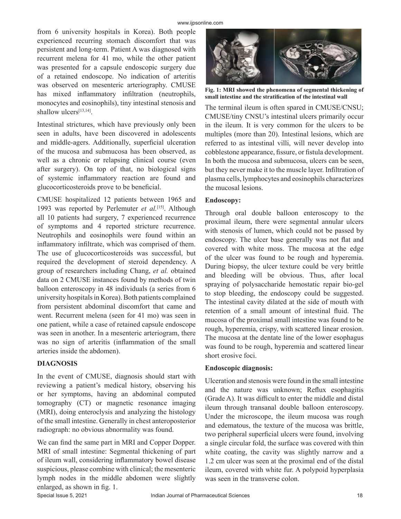from 6 university hospitals in Korea). Both people experienced recurring stomach discomfort that was persistent and long-term. Patient A was diagnosed with recurrent melena for 41 mo, while the other patient was presented for a capsule endoscopic surgery due of a retained endoscope. No indication of arteritis was observed on mesenteric arteriography. CMUSE has mixed inflammatory infiltration (neutrophils, monocytes and eosinophils), tiny intestinal stenosis and shallow ulcers<sup>[13,14]</sup>.

Intestinal strictures, which have previously only been seen in adults, have been discovered in adolescents and middle-agers. Additionally, superficial ulceration of the mucosa and submucosa has been observed, as well as a chronic or relapsing clinical course (even after surgery). On top of that, no biological signs of systemic inflammatory reaction are found and glucocorticosteroids prove to be beneficial.

CMUSE hospitalized 12 patients between 1965 and 1993 was reported by Perlemuter *et al.*[15]. Although all 10 patients had surgery, 7 experienced recurrence of symptoms and 4 reported stricture recurrence. Neutrophils and eosinophils were found within an inflammatory infiltrate, which was comprised of them. The use of glucocorticosteroids was successful, but required the development of steroid dependency. A group of researchers including Chang, *et al.* obtained data on 2 CMUSE instances found by methods of twin balloon enteroscopy in 48 individuals (a series from 6 university hospitals in Korea). Both patients complained from persistent abdominal discomfort that came and went. Recurrent melena (seen for 41 mo) was seen in one patient, while a case of retained capsule endoscope was seen in another. In a mesenteric arteriogram, there was no sign of arteritis (inflammation of the small arteries inside the abdomen).

## **DIAGNOSIS**

In the event of CMUSE, diagnosis should start with reviewing a patient's medical history, observing his or her symptoms, having an abdominal computed tomography (CT) or magnetic resonance imaging (MRI), doing enteroclysis and analyzing the histology of the small intestine. Generally in chest anteroposterior radiograph: no obvious abnormality was found.

We can find the same part in MRI and Copper Dopper. MRI of small intestine: Segmental thickening of part of ileum wall, considering inflammatory bowel disease suspicious, please combine with clinical; the mesenteric lymph nodes in the middle abdomen were slightly enlarged, as shown in fig. 1.



**Fig. 1: MRI showed the phenomena of segmental thickening of small intestine and the stratification of the intestinal wall**

The terminal ileum is often spared in CMUSE/CNSU; CMUSE/tiny CNSU's intestinal ulcers primarily occur in the ileum. It is very common for the ulcers to be multiples (more than 20). Intestinal lesions, which are referred to as intestinal villi, will never develop into cobblestone appearance, fissure, or fistula development. In both the mucosa and submucosa, ulcers can be seen, but they never make it to the muscle layer. Infiltration of plasma cells, lymphocytes and eosinophils characterizes the mucosal lesions.

## **Endoscopy:**

Through oral double balloon enteroscopy to the proximal ileum, there were segmental annular ulcers with stenosis of lumen, which could not be passed by endoscopy. The ulcer base generally was not flat and covered with white moss. The mucosa at the edge of the ulcer was found to be rough and hyperemia. During biopsy, the ulcer texture could be very brittle and bleeding will be obvious. Thus, after local spraying of polysaccharide hemostatic repair bio-gel to stop bleeding, the endoscopy could be suggested. The intestinal cavity dilated at the side of mouth with retention of a small amount of intestinal fluid. The mucosa of the proximal small intestine was found to be rough, hyperemia, crispy, with scattered linear erosion. The mucosa at the dentate line of the lower esophagus was found to be rough, hyperemia and scattered linear short erosive foci.

# **Endoscopic diagnosis:**

Ulceration and stenosis were found in the small intestine and the nature was unknown; Reflux esophagitis (Grade A). It was difficult to enter the middle and distal ileum through transanal double balloon enteroscopy. Under the microscope, the ileum mucosa was rough and edematous, the texture of the mucosa was brittle, two peripheral superficial ulcers were found, involving a single circular fold, the surface was covered with thin white coating, the cavity was slightly narrow and a 1.2 cm ulcer was seen at the proximal end of the distal ileum, covered with white fur. A polypoid hyperplasia was seen in the transverse colon.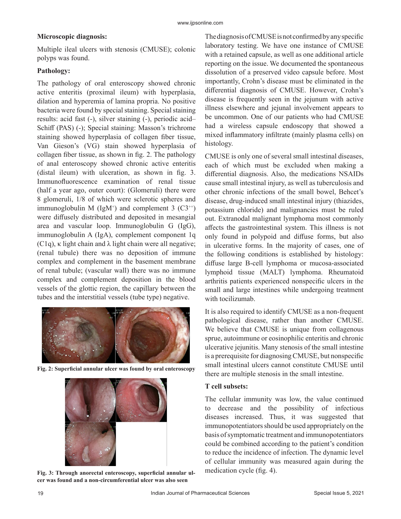# **Microscopic diagnosis:**

Multiple ileal ulcers with stenosis (CMUSE); colonic polyps was found.

# **Pathology:**

The pathology of oral enteroscopy showed chronic active enteritis (proximal ileum) with hyperplasia, dilation and hyperemia of lamina propria. No positive bacteria were found by special staining. Special staining results: acid fast (-), silver staining (-), periodic acid– Schiff (PAS) (-); Special staining: Masson's trichrome staining showed hyperplasia of collagen fiber tissue, Van Gieson's (VG) stain showed hyperplasia of collagen fiber tissue, as shown in fig. 2. The pathology of anal enteroscopy showed chronic active enteritis (distal ileum) with ulceration, as shown in fig. 3. Immunofluorescence examination of renal tissue (half a year ago, outer court): (Glomeruli) there were 8 glomeruli, 1/8 of which were sclerotic spheres and immunoglobulin M (IgM<sup>+</sup>) and complement 3  $(C3^{++})$ were diffusely distributed and deposited in mesangial area and vascular loop. Immunoglobulin G (IgG), immunoglobulin A (IgA), complement component 1q (C1q),  $\kappa$  light chain and  $\lambda$  light chain were all negative; (renal tubule) there was no deposition of immune complex and complement in the basement membrane of renal tubule; (vascular wall) there was no immune complex and complement deposition in the blood vessels of the glottic region, the capillary between the tubes and the interstitial vessels (tube type) negative.



**Fig. 2: Superficial annular ulcer was found by oral enteroscopy**



**Fig. 3: Through anorectal enteroscopy, superficial annular ulcer was found and a non-circumferential ulcer was also seen**

The diagnosis of CMUSE is not confirmed by any specific laboratory testing. We have one instance of CMUSE with a retained capsule, as well as one additional article reporting on the issue. We documented the spontaneous dissolution of a preserved video capsule before. Most importantly, Crohn's disease must be eliminated in the differential diagnosis of CMUSE. However, Crohn's disease is frequently seen in the jejunum with active illness elsewhere and jejunal involvement appears to be uncommon. One of our patients who had CMUSE had a wireless capsule endoscopy that showed a mixed inflammatory infiltrate (mainly plasma cells) on histology.

CMUSE is only one of several small intestinal diseases, each of which must be excluded when making a differential diagnosis. Also, the medications NSAIDs cause small intestinal injury, as well as tuberculosis and other chronic infections of the small bowel, Behcet's disease, drug-induced small intestinal injury (thiazides, potassium chloride) and malignancies must be ruled out. Extranodal malignant lymphoma most commonly affects the gastrointestinal system. This illness is not only found in polypoid and diffuse forms, but also in ulcerative forms. In the majority of cases, one of the following conditions is established by histology: diffuse large B-cell lymphoma or mucosa-associated lymphoid tissue (MALT) lymphoma. Rheumatoid arthritis patients experienced nonspecific ulcers in the small and large intestines while undergoing treatment with tocilizumab.

It is also required to identify CMUSE as a non-frequent pathological disease, rather than another CMUSE. We believe that CMUSE is unique from collagenous sprue, autoimmune or eosinophilic enteritis and chronic ulcerative jejunitis. Many stenosis of the small intestine is a prerequisite for diagnosing CMUSE, but nonspecific small intestinal ulcers cannot constitute CMUSE until there are multiple stenosis in the small intestine.

# **T cell subsets:**

The cellular immunity was low, the value continued to decrease and the possibility of infectious diseases increased. Thus, it was suggested that immunopotentiators should be used appropriately on the basis of symptomatic treatment and immunopotentiators could be combined according to the patient's condition to reduce the incidence of infection. The dynamic level of cellular immunity was measured again during the medication cycle (fig. 4).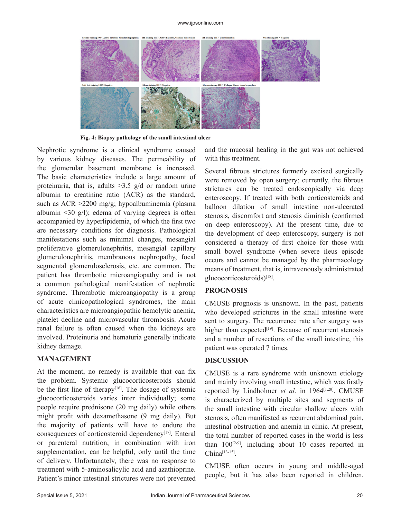

**Fig. 4: Biopsy pathology of the small intestinal ulcer**

Nephrotic syndrome is a clinical syndrome caused by various kidney diseases. The permeability of the glomerular basement membrane is increased. The basic characteristics include a large amount of proteinuria, that is, adults  $>3.5$  g/d or random urine albumin to creatinine ratio (ACR) as the standard, such as ACR >2200 mg/g; hypoalbuminemia (plasma albumin  $\leq 30$  g/l); edema of varying degrees is often accompanied by hyperlipidemia, of which the first two are necessary conditions for diagnosis. Pathological manifestations such as minimal changes, mesangial proliferative glomerulonephritis, mesangial capillary glomerulonephritis, membranous nephropathy, focal segmental glomerulosclerosis, etc. are common. The patient has thrombotic microangiopathy and is not a common pathological manifestation of nephrotic syndrome. Thrombotic microangiopathy is a group of acute clinicopathological syndromes, the main characteristics are microangiopathic hemolytic anemia, platelet decline and microvascular thrombosis. Acute renal failure is often caused when the kidneys are involved. Proteinuria and hematuria generally indicate kidney damage.

#### **MANAGEMENT**

At the moment, no remedy is available that can fix the problem. Systemic glucocorticosteroids should be the first line of therapy<sup>[16]</sup>. The dosage of systemic glucocorticosteroids varies inter individually; some people require prednisone (20 mg daily) while others might profit with dexamethasone (9 mg daily). But the majority of patients will have to endure the consequences of corticosteroid dependency<sup>[17]</sup>. Enteral or parenteral nutrition, in combination with iron supplementation, can be helpful, only until the time of delivery. Unfortunately, there was no response to treatment with 5-aminosalicylic acid and azathioprine. Patient's minor intestinal strictures were not prevented and the mucosal healing in the gut was not achieved with this treatment.

Several fibrous strictures formerly excised surgically were removed by open surgery; currently, the fibrous strictures can be treated endoscopically via deep enteroscopy. If treated with both corticosteroids and balloon dilation of small intestine non-ulcerated stenosis, discomfort and stenosis diminish (confirmed on deep enteroscopy). At the present time, due to the development of deep enteroscopy, surgery is not considered a therapy of first choice for those with small bowel syndrome (when severe ileus episode occurs and cannot be managed by the pharmacology means of treatment, that is, intravenously administrated glucocorticosteroids)[18].

## **PROGNOSIS**

CMUSE prognosis is unknown. In the past, patients who developed strictures in the small intestine were sent to surgery. The recurrence rate after surgery was higher than expected<sup>[19]</sup>. Because of recurrent stenosis and a number of resections of the small intestine, this patient was operated 7 times.

#### **DISCUSSION**

CMUSE is a rare syndrome with unknown etiology and mainly involving small intestine, which was firstly reported by Lindholmer *et al.* in 1964<sup>[1,20]</sup>. CMUSE is characterized by multiple sites and segments of the small intestine with circular shallow ulcers with stenosis, often manifested as recurrent abdominal pain, intestinal obstruction and anemia in clinic. At present, the total number of reported cases in the world is less than  $100^{[2-9]}$ , including about 10 cases reported in China[13-15].

CMUSE often occurs in young and middle-aged people, but it has also been reported in children.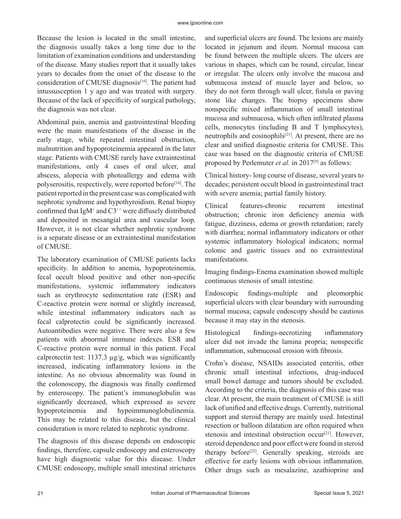Because the lesion is located in the small intestine, the diagnosis usually takes a long time due to the limitation of examination conditions and understanding of the disease. Many studies report that it usually takes years to decades from the onset of the disease to the consideration of CMUSE diagnosis<sup>[16]</sup>. The patient had intussusception 1 y ago and was treated with surgery. Because of the lack of specificity of surgical pathology, the diagnosis was not clear.

Abdominal pain, anemia and gastrointestinal bleeding were the main manifestations of the disease in the early stage, while repeated intestinal obstruction, malnutrition and hypoproteinemia appeared in the later stage. Patients with CMUSE rarely have extraintestinal manifestations, only 4 cases of oral ulcer, anal abscess, alopecia with photoallergy and edema with polyserositis, respectively, were reported before<sup>[14]</sup>. The patient reported in the present case was complicated with nephrotic syndrome and hypothyroidism. Renal biopsy confirmed that  $IgM^+$  and  $C3^{++}$  were diffusely distributed and deposited in mesangial area and vascular loop. However, it is not clear whether nephrotic syndrome is a separate disease or an extraintestinal manifestation of CMUSE.

The laboratory examination of CMUSE patients lacks specificity. In addition to anemia, hypoproteinemia, fecal occult blood positive and other non-specific manifestations, systemic inflammatory indicators such as erythrocyte sedimentation rate (ESR) and C-reactive protein were normal or slightly increased, while intestinal inflammatory indicators such as fecal calprotectin could be significantly increased. Autoantibodies were negative. There were also a few patients with abnormal immune indexes. ESR and C-reactive protein were normal in this patient. Fecal calprotectin test: 1137.3  $\mu$ g/g, which was significantly increased, indicating inflammatory lesions in the intestine. As no obvious abnormality was found in the colonoscopy, the diagnosis was finally confirmed by enteroscopy. The patient's immunoglobulin was significantly decreased, which expressed as severe hypoproteinemia and hypoimmunoglobulinemia. This may be related to this disease, but the clinical consideration is more related to nephrotic syndrome.

The diagnosis of this disease depends on endoscopic findings, therefore, capsule endoscopy and enteroscopy have high diagnostic value for this disease. Under CMUSE endoscopy, multiple small intestinal strictures and superficial ulcers are found. The lesions are mainly located in jejunum and ileum. Normal mucosa can be found between the multiple ulcers. The ulcers are various in shapes, which can be round, circular, linear or irregular. The ulcers only involve the mucosa and submucosa instead of muscle layer and below, so they do not form through wall ulcer, fistula or paving stone like changes. The biopsy specimens show nonspecific mixed inflammation of small intestinal mucosa and submucosa, which often infiltrated plasma cells, monocytes (including B and T lymphocytes), neutrophils and eosinophils<sup>[21]</sup>. At present, there are no clear and unified diagnostic criteria for CMUSE. This case was based on the diagnostic criteria of CMUSE proposed by Perlemuter *et al.* in 2017<sup>[9]</sup> as follows:

Clinical history- long course of disease, several years to decades; persistent occult blood in gastrointestinal tract with severe anemia; partial family history.

Clinical features-chronic recurrent intestinal obstruction; chronic iron deficiency anemia with fatigue, dizziness, edema or growth retardation; rarely with diarrhea; normal inflammatory indicators or other systemic inflammatory biological indicators; normal colonic and gastric tissues and no extraintestinal manifestations.

Imaging findings-Enema examination showed multiple continuous stenosis of small intestine.

Endoscopic findings-multiple and pleomorphic superficial ulcers with clear boundary with surrounding normal mucosa; capsule endoscopy should be cautious because it may stay in the stenosis.

Histological findings-necrotizing inflammatory ulcer did not invade the lamina propria; nonspecific inflammation, submucosal erosion with fibrosis.

Crohn's disease, NSAIDs associated enteritis, other chronic small intestinal infections, drug-induced small bowel damage and tumors should be excluded. According to the criteria, the diagnosis of this case was clear. At present, the main treatment of CMUSE is still lack of unified and effective drugs. Currently, nutritional support and steroid therapy are mainly used. Intestinal resection or balloon dilatation are often required when stenosis and intestinal obstruction occur<sup>[21]</sup>. However, steroid dependence and poor effect were found in steroid therapy before[22]. Generally speaking, steroids are effective for early lesions with obvious inflammation. Other drugs such as mesalazine, azathioprine and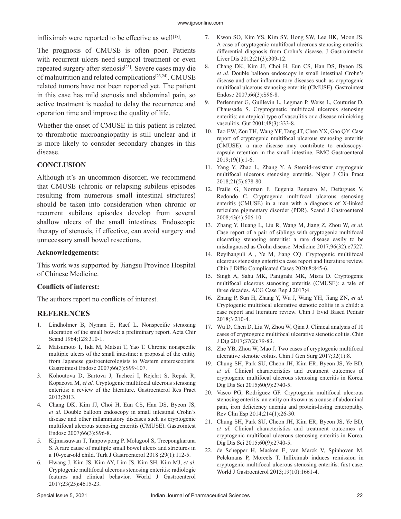infliximab were reported to be effective as well $[18]$ .

The prognosis of CMUSE is often poor. Patients with recurrent ulcers need surgical treatment or even repeated surgery after stenosis[23]. Severe cases may die of malnutrition and related complications[23,24]. CMUSE related tumors have not been reported yet. The patient in this case has mild stenosis and abdominal pain, so active treatment is needed to delay the recurrence and operation time and improve the quality of life.

Whether the onset of CMUSE in this patient is related to thrombotic microangiopathy is still unclear and it is more likely to consider secondary changes in this disease.

## **CONCLUSION**

Although it's an uncommon disorder, we recommend that CMUSE (chronic or relapsing subileus episodes resulting from numerous small intestinal strictures) should be taken into consideration when chronic or recurrent subileus episodes develop from several shallow ulcers of the small intestines. Endoscopic therapy of stenosis, if effective, can avoid surgery and unnecessary small bowel resections.

## **Acknowledgements:**

This work was supported by Jiangsu Province Hospital of Chinese Medicine.

## **Conflicts of interest:**

The authors report no conflicts of interest.

# **REFERENCES**

- 1. Lindholmer B, Nyman E, Raef L. Nonspecific stenosing ulceration of the small bowel: a preliminary report. Acta Chir Scand 1964;128:310-1.
- 2. Matsumoto T, Iida M, Matsui T, Yao T. Chronic nonspecific multiple ulcers of the small intestine: a proposal of the entity from Japanese gastroenterologists to Western enteroscopists. Gastrointest Endosc 2007;66(3):S99-107.
- 3. Kohoutova D, Bartova J, Tacheci I, Rejchrt S, Repak R, Kopacova M, *et al.* Cryptogenic multifocal ulcerous stenosing enteritis: a review of the literature. Gastroenterol Res Pract 2013;2013.
- 4. Chang DK, Kim JJ, Choi H, Eun CS, Han DS, Byeon JS, *et al.* Double balloon endoscopy in small intestinal Crohn's disease and other inflammatory diseases such as cryptogenic multifocal ulcerous stenosing enteritis (CMUSE). Gastrointest Endosc 2007;66(3):S96-8.
- 5. Kijmassuwan T, Tanpowpong P, Molagool S, Treepongkaruna S. A rare cause of multiple small bowel ulcers and strictures in a 10-year-old child. Turk J Gastroenterol 2018 ;29(1):112-5.
- 6. Hwang J, Kim JS, Kim AY, Lim JS, Kim SH, Kim MJ, *et al.* Cryptogenic multifocal ulcerous stenosing enteritis: radiologic features and clinical behavior. World J Gastroenterol 2017;23(25):4615-23.
- 7. Kwon SO, Kim YS, Kim SY, Hong SW, Lee HK, Moon JS. A case of cryptogenic multifocal ulcerous stenosing enteritis: differential diagnosis from Crohn's disease. J Gastrointestin Liver Dis 2012;21(3):309-12.
- 8. Chang DK, Kim JJ, Choi H, Eun CS, Han DS, Byeon JS, *et al.* Double balloon endoscopy in small intestinal Crohn's disease and other inflammatory diseases such as cryptogenic multifocal ulcerous stenosing enteritis (CMUSE). Gastrointest Endosc 2007;66(3):S96-8.
- 9. Perlemuter G, Guillevin L, Legman P, Weiss L, Couturier D, Chaussade S. Cryptogenetic multifocal ulcerous stenosing enteritis: an atypical type of vasculitis or a disease mimicking vasculitis. Gut 2001;48(3):333-8.
- 10. Tao EW, Zou TH, Wang YF, Tang JT, Chen YX, Gao QY. Case report of cryptogenic multifocal ulcerous stenosing enteritis (CMUSE): a rare disease may contribute to endoscopycapsule retention in the small intestine. BMC Gastroenterol 2019;19(1):1-6.
- 11. Yang Y, Zhao L, Zhang Y. A Steroid-resistant cryptogenic multifocal ulcerous stenosing enteritis. Niger J Clin Pract 2018;21(5):678-80.
- 12. Fraile G, Norman F, Eugenia Reguero M, Defargues V, Redondo C. Cryptogenic multifocal ulcerous stenosing enteritis (CMUSE) in a man with a diagnosis of X-linked reticulate pigmentary disorder (PDR). Scand J Gastroenterol 2008;43(4):506-10.
- 13. Zhang Y, Huang L, Liu R, Wang M, Jiang Z, Zhou W, *et al.* Case report of a pair of siblings with cryptogenic multifocal ulcerating stenosing enteritis: a rare disease easily to be misdiagnosed as Crohn disease. Medicine 2017;96(32):e7527.
- 14. Reyihanguli A , Ye M, Jiang CQ. Cryptogenic multiifocal ulcerous stenosing enteritis:a case report and literature review. Chin J Diffic Complicated Cases 2020;8:845-6.
- 15. Singh A, Sahu MK, Panigrahi MK, Misra D. Cryptogenic multifocal ulcerous stenosing enteritis (CMUSE): a tale of three decades. ACG Case Rep J 2017;4.
- 16. Zhang P, Sun H, Zhang Y, Wu J, Wang YH, Jiang ZN, *et al.* Cryptogenic multifocal ulcerative stenotic colitis in a child: a case report and literature review. Chin J Evid Based Pediatr 2018;3:210-4.
- 17. Wu D, Chen D, Liu W, Zhou W, Qian J. Clinical analysis of 10 cases of cryptogenic multifocal ulcerative stenotic colitis. Chin J Dig 2017;37(2):79-83.
- 18. Zhe YB, Zhou W, Mao J. Two cases of cryptogenic multifocal ulcerative stenotic colitis. Chin J Gen Surg 2017;32(1):8.
- 19. Chung SH, Park SU, Cheon JH, Kim ER, Byeon JS, Ye BD, *et al.* Clinical characteristics and treatment outcomes of cryptogenic multifocal ulcerous stenosing enteritis in Korea. Dig Dis Sci 2015;60(9):2740-5.
- 20. Vasco PG, Rodriguez GF. Cryptogenia multifocal ulcerous stenosing enteritis: an entity on its own as a cause of abdominal pain, iron deficiency anemia and protein-losing enteropathy. Rev Clin Esp 2014;214(1):26-30.
- 21. Chung SH, Park SU, Cheon JH, Kim ER, Byeon JS, Ye BD, *et al.* Clinical characteristics and treatment outcomes of cryptogenic multifocal ulcerous stenosing enteritis in Korea. Dig Dis Sci 2015;60(9):2740-5.
- 22. de Schepper H, Macken E, van Marck V, Spinhoven M, Pelckmans P, Moreels T. Infliximab induces remission in cryptogenic multifocal ulcerous stenosing enteritis: first case. World J Gastroenterol 2013;19(10):1661-4.